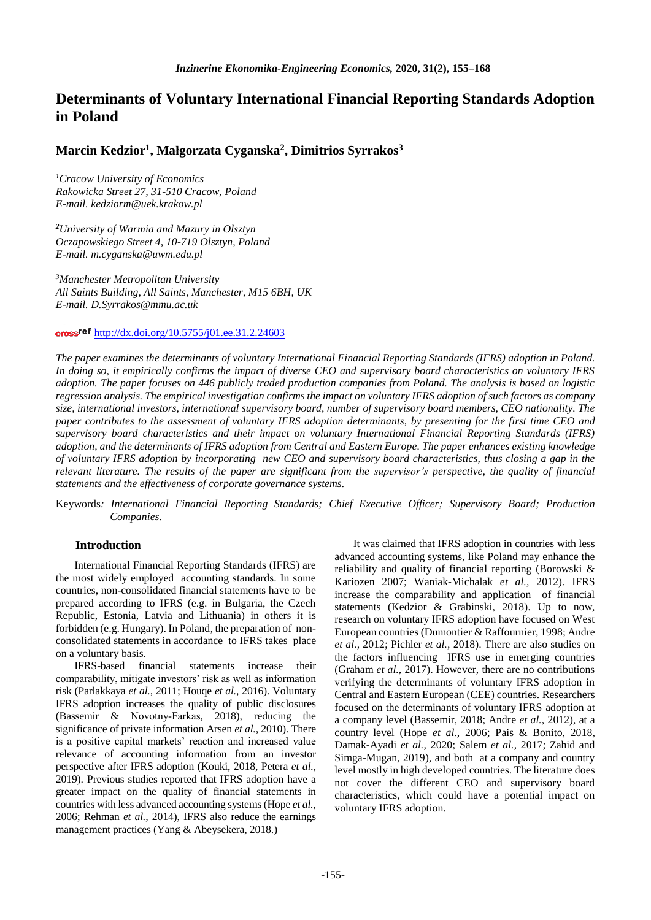# **Determinants of Voluntary International Financial Reporting Standards Adoption in Poland**

# **Marcin Kedzior<sup>1</sup> , Małgorzata Cyganska<sup>2</sup> , Dimitrios Syrrakos<sup>3</sup>**

*<sup>1</sup>Cracow University of Economics Rakowicka Street 27, 31-510 Cracow, Poland E-mail. kedziorm@uek.krakow.pl* 

*<sup>2</sup>University of Warmia and Mazury in Olsztyn Oczapowskiego Street 4, 10-719 Olsztyn, Poland E-mail. [m.cyganska@uwm.edu.pl](mailto:m.cyganska@uwm.edu.pl)*

*<sup>3</sup>Manchester Metropolitan University All Saints Building, All Saints, Manchester, M15 6BH, UK E-mail. D.Syrrakos@mmu.ac.uk*

# cross<sup>ref</sup> http://dx.doi.org/10.5755/j01.ee.31.2.24603

*The paper examines the determinants of voluntary International Financial Reporting Standards (IFRS) adoption in Poland. In doing so, it empirically confirms the impact of diverse CEO and supervisory board characteristics on voluntary IFRS adoption. The paper focuses on 446 publicly traded production companies from Poland. The analysis is based on logistic regression analysis. The empirical investigation confirms the impact on voluntary IFRS adoption of such factors as company size, international investors, international supervisory board, number of supervisory board members, CEO nationality. The paper contributes to the assessment of voluntary IFRS adoption determinants, by presenting for the first time CEO and supervisory board characteristics and their impact on voluntary International Financial Reporting Standards (IFRS) adoption, and the determinants of IFRS adoption from Central and Eastern Europe. The paper enhances existing knowledge of voluntary IFRS adoption by incorporating new CEO and supervisory board characteristics, thus closing a gap in the relevant literature. The results of the paper are significant from the supervisor's perspective, the quality of financial statements and the effectiveness of corporate governance systems.*

Keywords*: International Financial Reporting Standards; Chief Executive Officer; Supervisory Board; Production Companies.*

# **Introduction**

International Financial Reporting Standards (IFRS) are the most widely employed accounting standards. In some countries, non-consolidated financial statements have to be prepared according to IFRS (e.g. in Bulgaria, the Czech Republic, Estonia, Latvia and Lithuania) in others it is forbidden (e.g. Hungary). In Poland, the preparation of nonconsolidated statements in accordance to IFRS takes place on a voluntary basis.

IFRS-based financial statements increase their comparability, mitigate investors' risk as well as information risk (Parlakkaya *et al.,* 2011; Houqe *et al.,* 2016). Voluntary IFRS adoption increases the quality of public disclosures (Bassemir & Novotny‐Farkas, 2018), reducing the significance of private information Arsen *et al.,* 2010). There is a positive capital markets' reaction and increased value relevance of accounting information from an investor perspective after IFRS adoption (Kouki, 2018, Petera *et al.,*  2019). Previous studies reported that IFRS adoption have a greater impact on the quality of financial statements in countries with less advanced accounting systems (Hope *et al.,* 2006; Rehman *et al.,* 2014), IFRS also reduce the earnings management practices (Yang & Abeysekera, 2018.)

It was claimed that IFRS adoption in countries with less advanced accounting systems, like Poland may enhance the reliability and quality of financial reporting (Borowski & Kariozen 2007; Waniak-Michalak *et al.,* 2012). IFRS increase the comparability and application of financial statements (Kedzior & Grabinski, 2018). Up to now, research on voluntary IFRS adoption have focused on West European countries (Dumontier & Raffournier, 1998; Andre *et al.,* 2012; Pichler *et al.,* 2018). There are also studies on the factors influencing IFRS use in emerging countries (Graham *et al.,* 2017). However, there are no contributions verifying the determinants of voluntary IFRS adoption in Central and Eastern European (CEE) countries. Researchers focused on the determinants of voluntary IFRS adoption at a company level (Bassemir, 2018; Andre *et al.,* 2012), at a country level (Hope *et al.,* 2006; Pais & Bonito, 2018, Damak-Ayadi *et al.,* 2020; Salem *et al.,* 2017; Zahid and Simga-Mugan, 2019), and both at a company and country level mostly in high developed countries. The literature does not cover the different CEO and supervisory board characteristics, which could have a potential impact on voluntary IFRS adoption.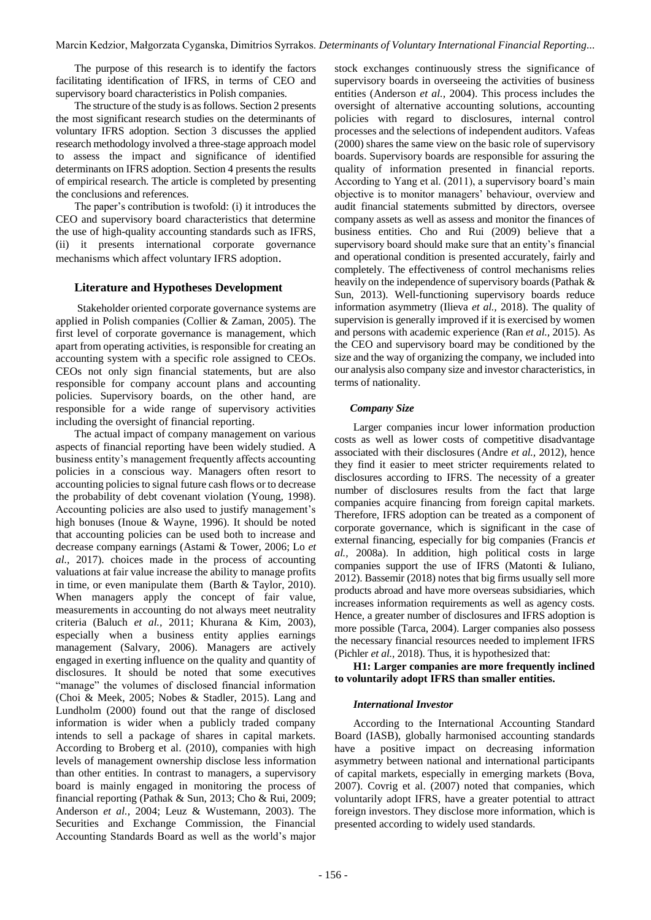The purpose of this research is to identify the factors facilitating identification of IFRS, in terms of CEO and supervisory board characteristics in Polish companies.

The structure of the study is as follows. Section 2 presents the most significant research studies on the determinants of voluntary IFRS adoption. Section 3 discusses the applied research methodology involved a three-stage approach model to assess the impact and significance of identified determinants on IFRS adoption. Section 4 presents the results of empirical research. The article is completed by presenting the conclusions and references.

The paper's contribution is twofold: (i) it introduces the CEO and supervisory board characteristics that determine the use of high-quality accounting standards such as IFRS, (ii) it presents international corporate governance mechanisms which affect voluntary IFRS adoption.

### **Literature and Hypotheses Development**

Stakeholder oriented corporate governance systems are applied in Polish companies (Collier & Zaman, 2005). The first level of corporate governance is management, which apart from operating activities, is responsible for creating an accounting system with a specific role assigned to CEOs. CEOs not only sign financial statements, but are also responsible for company account plans and accounting policies. Supervisory boards, on the other hand, are responsible for a wide range of supervisory activities including the oversight of financial reporting.

The actual impact of company management on various aspects of financial reporting have been widely studied. A business entity's management frequently affects accounting policies in a conscious way. Managers often resort to accounting policies to signal future cash flows or to decrease the probability of debt covenant violation (Young, 1998). Accounting policies are also used to justify management's high bonuses (Inoue & Wayne, 1996). It should be noted that accounting policies can be used both to increase and decrease company earnings (Astami & Tower, 2006; Lo *et al.,* 2017). choices made in the process of accounting valuations at fair value increase the ability to manage profits in time, or even manipulate them (Barth & Taylor, 2010). When managers apply the concept of fair value, measurements in accounting do not always meet neutrality criteria (Baluch *et al.,* 2011; Khurana & Kim, 2003), especially when a business entity applies earnings management (Salvary, 2006). Managers are actively engaged in exerting influence on the quality and quantity of disclosures. It should be noted that some executives "manage" the volumes of disclosed financial information (Choi & Meek, 2005; Nobes & Stadler, 2015). Lang and Lundholm (2000) found out that the range of disclosed information is wider when a publicly traded company intends to sell a package of shares in capital markets. According to Broberg et al. (2010), companies with high levels of management ownership disclose less information than other entities. In contrast to managers, a supervisory board is mainly engaged in monitoring the process of financial reporting (Pathak & Sun, 2013; Cho & Rui, 2009; Anderson *et al.,* 2004; Leuz & Wustemann, 2003). The Securities and Exchange Commission, the Financial Accounting Standards Board as well as the world's major

stock exchanges continuously stress the significance of supervisory boards in overseeing the activities of business entities (Anderson *et al.,* 2004). This process includes the oversight of alternative accounting solutions, accounting policies with regard to disclosures, internal control processes and the selections of independent auditors. Vafeas (2000) shares the same view on the basic role of supervisory boards. Supervisory boards are responsible for assuring the quality of information presented in financial reports. According to Yang et al. (2011), a supervisory board's main objective is to monitor managers' behaviour, overview and audit financial statements submitted by directors, oversee company assets as well as assess and monitor the finances of business entities. Cho and Rui (2009) believe that a supervisory board should make sure that an entity's financial and operational condition is presented accurately, fairly and completely. The effectiveness of control mechanisms relies heavily on the independence of supervisory boards (Pathak & Sun, 2013). Well-functioning supervisory boards reduce information asymmetry (Ilieva *et al.,* 2018). The quality of supervision is generally improved if it is exercised by women and persons with academic experience (Ran *et al.,* 2015). As the CEO and supervisory board may be conditioned by the size and the way of organizing the company, we included into our analysis also company size and investor characteristics, in terms of nationality.

#### *Company Size*

Larger companies incur lower information production costs as well as lower costs of competitive disadvantage associated with their disclosures (Andre *et al.,* 2012), hence they find it easier to meet stricter requirements related to disclosures according to IFRS. The necessity of a greater number of disclosures results from the fact that large companies acquire financing from foreign capital markets. Therefore, IFRS adoption can be treated as a component of corporate governance, which is significant in the case of external financing, especially for big companies (Francis *et al.,* 2008a). In addition, high political costs in large companies support the use of IFRS (Matonti & Iuliano, 2012). Bassemir (2018) notes that big firms usually sell more products abroad and have more overseas subsidiaries, which increases information requirements as well as agency costs. Hence, a greater number of disclosures and IFRS adoption is more possible (Tarca, 2004). Larger companies also possess the necessary financial resources needed to implement IFRS (Pichler *et al.,* 2018). Thus, it is hypothesized that:

**H1: Larger companies are more frequently inclined to voluntarily adopt IFRS than smaller entities.** 

#### *International Investor*

According to the International Accounting Standard Board (IASB), globally harmonised accounting standards have a positive impact on decreasing information asymmetry between national and international participants of capital markets, especially in emerging markets (Bova, 2007). Covrig et al. (2007) noted that companies, which voluntarily adopt IFRS, have a greater potential to attract foreign investors. They disclose more information, which is presented according to widely used standards.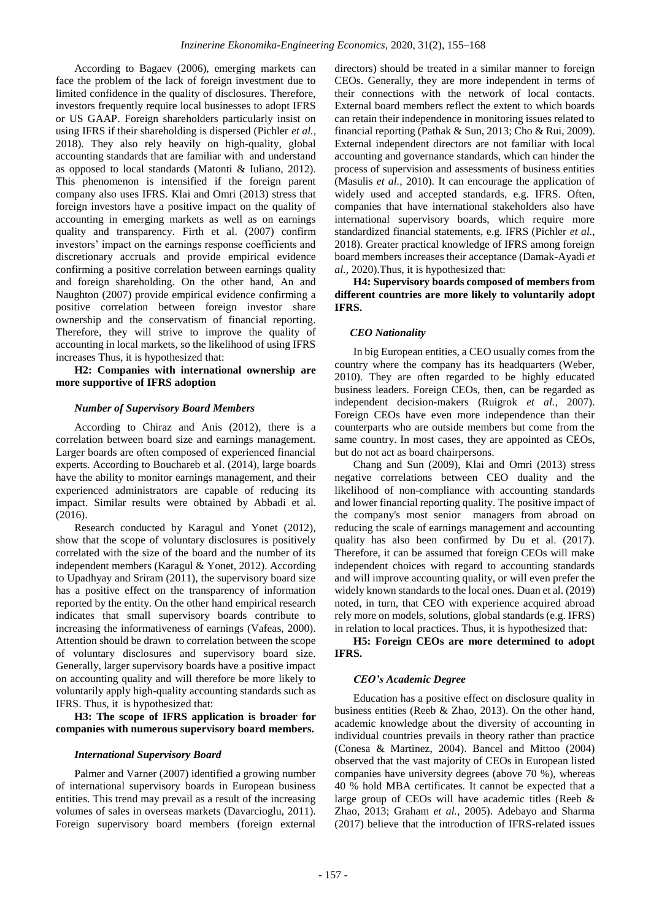According to Bagaev (2006), emerging markets can face the problem of the lack of foreign investment due to limited confidence in the quality of disclosures. Therefore, investors frequently require local businesses to adopt IFRS or US GAAP. Foreign shareholders particularly insist on using IFRS if their shareholding is dispersed (Pichler *et al.,* 2018). They also rely heavily on high-quality, global accounting standards that are familiar with and understand as opposed to local standards (Matonti & Iuliano, 2012). This phenomenon is intensified if the foreign parent company also uses IFRS. Klai and Omri (2013) stress that foreign investors have a positive impact on the quality of accounting in emerging markets as well as on earnings quality and transparency. Firth et al. (2007) confirm investors' impact on the earnings response coefficients and discretionary accruals and provide empirical evidence confirming a positive correlation between earnings quality and foreign shareholding. On the other hand, An and Naughton (2007) provide empirical evidence confirming a positive correlation between foreign investor share ownership and the conservatism of financial reporting. Therefore, they will strive to improve the quality of accounting in local markets, so the likelihood of using IFRS increases Thus, it is hypothesized that:

**H2: Companies with international ownership are more supportive of IFRS adoption**

### *Number of Supervisory Board Members*

According to Chiraz and Anis (2012), there is a correlation between board size and earnings management. Larger boards are often composed of experienced financial experts. According to Bouchareb et al. (2014), large boards have the ability to monitor earnings management, and their experienced administrators are capable of reducing its impact. Similar results were obtained by Abbadi et al. (2016).

Research conducted by Karagul and Yonet (2012), show that the scope of voluntary disclosures is positively correlated with the size of the board and the number of its independent members (Karagul & Yonet, 2012). According to Upadhyay and Sriram (2011), the supervisory board size has a positive effect on the transparency of information reported by the entity. On the other hand empirical research indicates that small supervisory boards contribute to increasing the informativeness of earnings (Vafeas, 2000). Attention should be drawn to correlation between the scope of voluntary disclosures and supervisory board size. Generally, larger supervisory boards have a positive impact on accounting quality and will therefore be more likely to voluntarily apply high-quality accounting standards such as IFRS. Thus, it is hypothesized that:

**H3: The scope of IFRS application is broader for companies with numerous supervisory board members.** 

#### *International Supervisory Board*

Palmer and Varner (2007) identified a growing number of international supervisory boards in European business entities. This trend may prevail as a result of the increasing volumes of sales in overseas markets (Davarcioglu, 2011). Foreign supervisory board members (foreign external directors) should be treated in a similar manner to foreign CEOs. Generally, they are more independent in terms of their connections with the network of local contacts. External board members reflect the extent to which boards can retain their independence in monitoring issues related to financial reporting (Pathak & Sun, 2013; Cho & Rui, 2009). External independent directors are not familiar with local accounting and governance standards, which can hinder the process of supervision and assessments of business entities (Masulis *et al.,* 2010). It can encourage the application of widely used and accepted standards, e.g. IFRS. Often, companies that have international stakeholders also have international supervisory boards, which require more standardized financial statements, e.g. IFRS (Pichler *et al.,* 2018). Greater practical knowledge of IFRS among foreign board members increases their acceptance (Damak-Ayadi *et al.,* 2020).Thus, it is hypothesized that:

**H4: Supervisory boards composed of members from different countries are more likely to voluntarily adopt IFRS.** 

#### *CEO Nationality*

In big European entities, a CEO usually comes from the country where the company has its headquarters (Weber, 2010). They are often regarded to be highly educated business leaders. Foreign CEOs, then, can be regarded as independent decision-makers (Ruigrok *et al.,* 2007). Foreign CEOs have even more independence than their counterparts who are outside members but come from the same country. In most cases, they are appointed as CEOs, but do not act as board chairpersons.

Chang and Sun (2009), Klai and Omri (2013) stress negative correlations between CEO duality and the likelihood of non-compliance with accounting standards and lower financial reporting quality. The positive impact of the company's most senior managers from abroad on reducing the scale of earnings management and accounting quality has also been confirmed by Du et al. (2017). Therefore, it can be assumed that foreign CEOs will make independent choices with regard to accounting standards and will improve accounting quality, or will even prefer the widely known standards to the local ones. Duan et al. (2019) noted, in turn, that CEO with experience acquired abroad rely more on models, solutions, global standards (e.g. IFRS) in relation to local practices. Thus, it is hypothesized that:

**H5: Foreign CEOs are more determined to adopt IFRS.** 

#### *CEO's Academic Degree*

Education has a positive effect on disclosure quality in business entities (Reeb & Zhao, 2013). On the other hand, academic knowledge about the diversity of accounting in individual countries prevails in theory rather than practice (Conesa & Martinez, 2004). Bancel and Mittoo (2004) observed that the vast majority of CEOs in European listed companies have university degrees (above 70 %), whereas 40 % hold MBA certificates. It cannot be expected that a large group of CEOs will have academic titles (Reeb & Zhao, 2013; Graham *et al.,* 2005). Adebayo and Sharma (2017) believe that the introduction of IFRS-related issues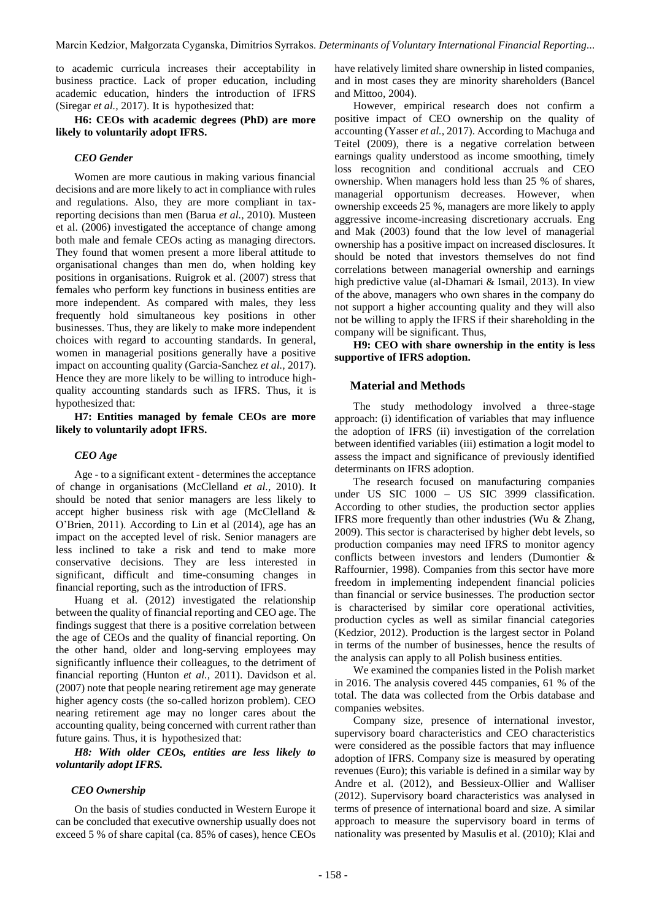to academic curricula increases their acceptability in business practice. Lack of proper education, including academic education, hinders the introduction of IFRS (Siregar *et al.,* 2017). It is hypothesized that:

**H6: CEOs with academic degrees (PhD) are more likely to voluntarily adopt IFRS.**

#### *CEO Gender*

Women are more cautious in making various financial decisions and are more likely to act in compliance with rules and regulations. Also, they are more compliant in taxreporting decisions than men (Barua *et al.,* 2010). Musteen et al. (2006) investigated the acceptance of change among both male and female CEOs acting as managing directors. They found that women present a more liberal attitude to organisational changes than men do, when holding key positions in organisations. Ruigrok et al. (2007) stress that females who perform key functions in business entities are more independent. As compared with males, they less frequently hold simultaneous key positions in other businesses. Thus, they are likely to make more independent choices with regard to accounting standards. In general, women in managerial positions generally have a positive impact on accounting quality (Garcia-Sanchez *et al.,* 2017). Hence they are more likely to be willing to introduce highquality accounting standards such as IFRS. Thus, it is hypothesized that:

**H7: Entities managed by female CEOs are more likely to voluntarily adopt IFRS.**

#### *CEO Age*

Age - to a significant extent - determines the acceptance of change in organisations (McClelland *et al.,* 2010). It should be noted that senior managers are less likely to accept higher business risk with age (McClelland & O'Brien, 2011). According to Lin et al (2014), age has an impact on the accepted level of risk. Senior managers are less inclined to take a risk and tend to make more conservative decisions. They are less interested in significant, difficult and time-consuming changes in financial reporting, such as the introduction of IFRS.

Huang et al. (2012) investigated the relationship between the quality of financial reporting and CEO age. The findings suggest that there is a positive correlation between the age of CEOs and the quality of financial reporting. On the other hand, older and long-serving employees may significantly influence their colleagues, to the detriment of financial reporting (Hunton *et al.,* 2011). Davidson et al. (2007) note that people nearing retirement age may generate higher agency costs (the so-called horizon problem). CEO nearing retirement age may no longer cares about the accounting quality, being concerned with current rather than future gains. Thus, it is hypothesized that:

*H8: With older CEOs, entities are less likely to voluntarily adopt IFRS.*

#### *CEO Ownership*

On the basis of studies conducted in Western Europe it can be concluded that executive ownership usually does not exceed 5 % of share capital (ca. 85% of cases), hence CEOs have relatively limited share ownership in listed companies, and in most cases they are minority shareholders (Bancel and Mittoo, 2004).

However, empirical research does not confirm a positive impact of CEO ownership on the quality of accounting (Yasser *et al.,* 2017). According to Machuga and Teitel (2009), there is a negative correlation between earnings quality understood as income smoothing, timely loss recognition and conditional accruals and CEO ownership. When managers hold less than 25 % of shares, managerial opportunism decreases. However, when ownership exceeds 25 %, managers are more likely to apply aggressive income-increasing discretionary accruals. Eng and Mak (2003) found that the low level of managerial ownership has a positive impact on increased disclosures. It should be noted that investors themselves do not find correlations between managerial ownership and earnings high predictive value (al-Dhamari & Ismail, 2013). In view of the above, managers who own shares in the company do not support a higher accounting quality and they will also not be willing to apply the IFRS if their shareholding in the company will be significant. Thus,

**H9: CEO with share ownership in the entity is less supportive of IFRS adoption.** 

#### **Material and Methods**

The study methodology involved a three-stage approach: (i) identification of variables that may influence the adoption of IFRS (ii) investigation of the correlation between identified variables (iii) estimation a logit model to assess the impact and significance of previously identified determinants on IFRS adoption.

The research focused on manufacturing companies under US SIC 1000 – US SIC 3999 classification. According to other studies, the production sector applies IFRS more frequently than other industries (Wu & Zhang, 2009). This sector is characterised by higher debt levels, so production companies may need IFRS to monitor agency conflicts between investors and lenders (Dumontier & Raffournier, 1998). Companies from this sector have more freedom in implementing independent financial policies than financial or service businesses. The production sector is characterised by similar core operational activities, production cycles as well as similar financial categories (Kedzior, 2012). Production is the largest sector in Poland in terms of the number of businesses, hence the results of the analysis can apply to all Polish business entities.

We examined the companies listed in the Polish market in 2016. The analysis covered 445 companies, 61 % of the total. The data was collected from the Orbis database and companies websites.

Company size, presence of international investor, supervisory board characteristics and CEO characteristics were considered as the possible factors that may influence adoption of IFRS. Company size is measured by operating revenues (Euro); this variable is defined in a similar way by Andre et al. (2012), and Bessieux-Ollier and Walliser (2012). Supervisory board characteristics was analysed in terms of presence of international board and size. A similar approach to measure the supervisory board in terms of nationality was presented by Masulis et al. (2010); Klai and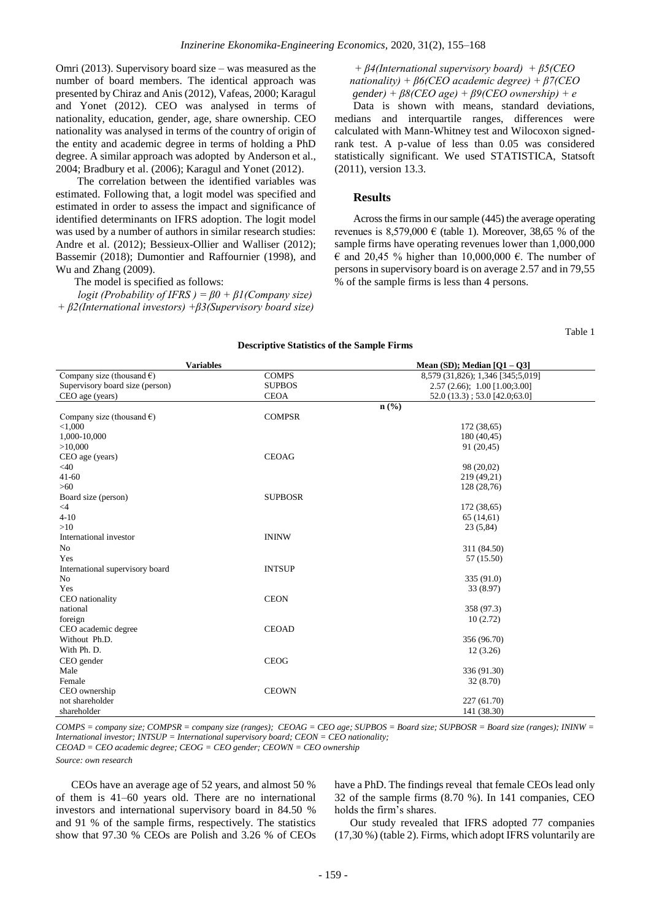Omri (2013). Supervisory board size – was measured as the number of board members. The identical approach was presented by Chiraz and Anis (2012), Vafeas, 2000; Karagul and Yonet (2012). CEO was analysed in terms of nationality, education, gender, age, share ownership. CEO nationality was analysed in terms of the country of origin of the entity and academic degree in terms of holding a PhD degree. A similar approach was adopted by Anderson et al., 2004; Bradbury et al. (2006); Karagul and Yonet (2012).

The correlation between the identified variables was estimated. Following that, a logit model was specified and estimated in order to assess the impact and significance of identified determinants on IFRS adoption. The logit model was used by a number of authors in similar research studies: Andre et al. (2012); Bessieux-Ollier and Walliser (2012); Bassemir (2018); Dumontier and Raffournier (1998), and Wu and Zhang (2009).

The model is specified as follows:

*logit (Probability of IFRS ) = β0 + β1(Company size) + β2(International investors) +β3(Supervisory board size)* 

*+ β4(International supervisory board) + β5(CEO nationality) + β6(CEO academic degree) + β7(CEO gender) + β8(CEO age) + β9(CEO ownership) + e*

Data is shown with means, standard deviations, medians and interquartile ranges, differences were calculated with Mann-Whitney test and Wilocoxon signedrank test. A p-value of less than 0.05 was considered statistically significant. We used STATISTICA, Statsoft (2011), version 13.3.

## **Results**

Across the firms in our sample (445) the average operating revenues is  $8,579,000 \in$  (table 1). Moreover, 38,65 % of the sample firms have operating revenues lower than 1,000,000  $\epsilon$  and 20,45 % higher than 10,000,000  $\epsilon$ . The number of persons in supervisory board is on average 2.57 and in 79,55 % of the sample firms is less than 4 persons.

Table 1

#### **Descriptive Statistics of the Sample Firms**

|                                     | <b>Variables</b> | Mean (SD); Median $[Q1 - Q3]$     |
|-------------------------------------|------------------|-----------------------------------|
| Company size (thousand $\epsilon$ ) | <b>COMPS</b>     | 8,579 (31,826); 1,346 [345;5,019] |
| Supervisory board size (person)     | <b>SUPBOS</b>    | 2.57(2.66); 1.00[1.00;3.00]       |
| CEO age (years)                     | <b>CEOA</b>      | $52.0(13.3)$ ; 53.0 $[42.0;63.0]$ |
|                                     |                  | $n\left(\frac{0}{0}\right)$       |
| Company size (thousand $\epsilon$ ) | <b>COMPSR</b>    |                                   |
| < 1,000                             |                  | 172 (38,65)                       |
| 1,000-10,000                        |                  | 180 (40,45)                       |
| >10,000                             |                  | 91 (20,45)                        |
| CEO age (years)                     | <b>CEOAG</b>     |                                   |
| <40                                 |                  | 98 (20,02)                        |
| $41 - 60$                           |                  | 219 (49,21)                       |
| $>60$                               |                  | 128 (28,76)                       |
| Board size (person)                 | <b>SUPBOSR</b>   |                                   |
| $\leq 4$                            |                  | 172 (38,65)                       |
| $4 - 10$                            |                  | 65(14,61)                         |
| >10                                 |                  | 23 (5,84)                         |
| International investor              | <b>ININW</b>     |                                   |
| N <sub>o</sub>                      |                  | 311 (84.50)                       |
| Yes                                 |                  | 57 (15.50)                        |
| International supervisory board     | <b>INTSUP</b>    |                                   |
| N <sub>o</sub>                      |                  | 335 (91.0)                        |
| Yes                                 |                  | 33 (8.97)                         |
| CEO nationality                     | <b>CEON</b>      |                                   |
| national                            |                  | 358 (97.3)                        |
| foreign                             |                  | 10(2.72)                          |
| CEO academic degree                 | <b>CEOAD</b>     |                                   |
| Without Ph.D.                       |                  | 356 (96.70)                       |
| With Ph. D.                         |                  | 12(3.26)                          |
| CEO gender                          | <b>CEOG</b>      |                                   |
| Male                                |                  | 336 (91.30)                       |
| Female                              |                  | 32 (8.70)                         |
| CEO ownership                       | <b>CEOWN</b>     |                                   |
| not shareholder                     |                  | 227 (61.70)                       |
| shareholder                         |                  | 141 (38.30)                       |
|                                     |                  |                                   |

*COMPS = company size; COMPSR = company size (ranges); CEOAG = CEO age; SUPBOS = Board size; SUPBOSR = Board size (ranges); ININW = International investor; INTSUP = International supervisory board; CEON = CEO nationality;*

*CEOAD = CEO academic degree; CEOG = CEO gender; CEOWN = CEO ownership*

*Source: own research*

CEOs have an average age of 52 years, and almost 50 % of them is 41–60 years old. There are no international investors and international supervisory board in 84.50 % and 91 % of the sample firms, respectively. The statistics show that 97.30 % CEOs are Polish and 3.26 % of CEOs have a PhD. The findings reveal that female CEOs lead only 32 of the sample firms (8.70 %). In 141 companies, CEO holds the firm's shares.

Our study revealed that IFRS adopted 77 companies (17,30 %) (table 2). Firms, which adopt IFRS voluntarily are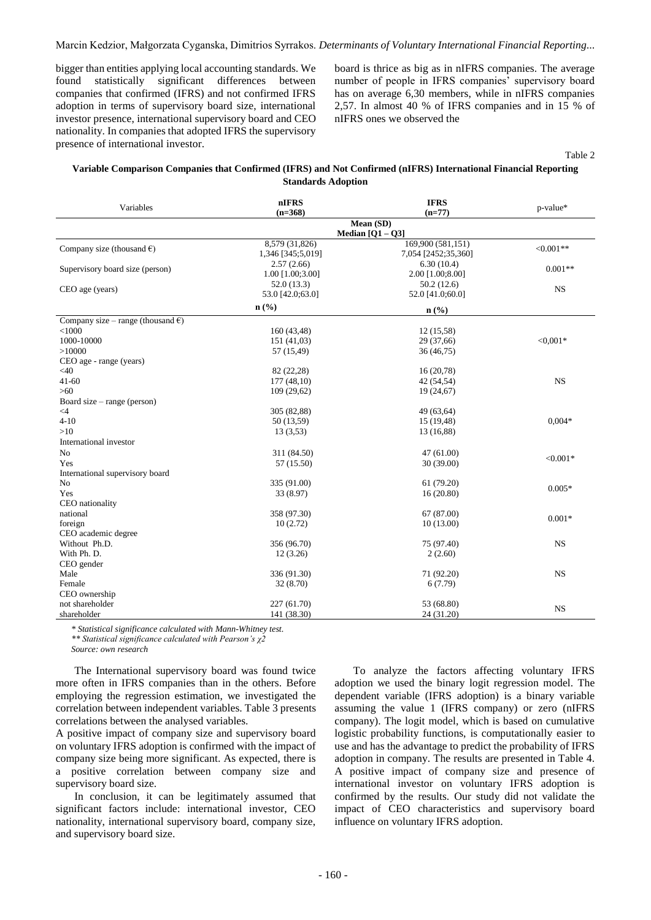bigger than entities applying local accounting standards. We found statistically significant differences between companies that confirmed (IFRS) and not confirmed IFRS adoption in terms of supervisory board size, international investor presence, international supervisory board and CEO nationality. In companies that adopted IFRS the supervisory presence of international investor.

board is thrice as big as in nIFRS companies. The average number of people in IFRS companies' supervisory board has on average 6,30 members, while in nIFRS companies 2,57. In almost 40 % of IFRS companies and in 15 % of nIFRS ones we observed the

Table 2

# **Variable Comparison Companies that Confirmed (IFRS) and Not Confirmed (nIFRS) International Financial Reporting Standards Adoption**

| Variables                                   | nIFRS<br>$(n=368)$                  | <b>IFRS</b><br>$(n=77)$                  | p-value*    |  |
|---------------------------------------------|-------------------------------------|------------------------------------------|-------------|--|
|                                             |                                     | Mean (SD)<br>Median $[Q1 - Q3]$          |             |  |
| Company size (thousand $\epsilon$ )         | 8,579 (31,826)<br>1,346 [345;5,019] | 169,900 (581,151)<br>7,054 [2452;35,360] | $< 0.001**$ |  |
| Supervisory board size (person)             | 2.57(2.66)<br>1.00 [1.00;3.00]      | 6.30(10.4)<br>2.00 [1.00;8.00]           | $0.001**$   |  |
| CEO age (years)                             | 52.0(13.3)<br>53.0 [42.0;63.0]      | 50.2(12.6)<br>52.0 [41.0;60.0]           | <b>NS</b>   |  |
|                                             | $n\left(\frac{0}{0}\right)$         | $n\left(\frac{0}{0}\right)$              |             |  |
| Company size – range (thousand $\epsilon$ ) |                                     |                                          |             |  |
| < 1000                                      | 160 (43,48)                         | 12 (15,58)                               |             |  |
| 1000-10000                                  | 151 (41,03)                         | 29 (37,66)                               | $< 0.001*$  |  |
| >10000                                      | 57 (15,49)                          | 36(46,75)                                |             |  |
| CEO age - range (years)                     |                                     |                                          |             |  |
| <40                                         | 82 (22,28)                          | 16(20,78)                                |             |  |
| $41 - 60$                                   | 177 (48,10)                         | 42 (54,54)                               | <b>NS</b>   |  |
| $>60$                                       | 109 (29,62)                         | 19 (24,67)                               |             |  |
| Board size – range (person)                 |                                     |                                          |             |  |
| $\leq$ 4                                    | 305 (82,88)                         | 49 (63,64)                               |             |  |
| $4 - 10$                                    | 50 (13,59)                          | 15 (19,48)                               | $0.004*$    |  |
| >10                                         | 13(3,53)                            | 13 (16,88)                               |             |  |
| International investor                      |                                     |                                          |             |  |
| N <sub>o</sub>                              | 311 (84.50)                         | 47(61.00)                                |             |  |
| Yes                                         | 57 (15.50)                          | 30 (39.00)                               | $< 0.001*$  |  |
| International supervisory board             |                                     |                                          |             |  |
| No                                          | 335 (91.00)                         | 61 (79.20)                               |             |  |
| Yes                                         | 33 (8.97)                           | 16(20.80)                                | $0.005*$    |  |
| CEO nationality                             |                                     |                                          |             |  |
| national                                    | 358 (97.30)                         | 67 (87.00)                               |             |  |
| foreign                                     | 10(2.72)                            | 10(13.00)                                | $0.001*$    |  |
| CEO academic degree                         |                                     |                                          |             |  |
| Without Ph.D.                               | 356 (96.70)                         | 75 (97.40)                               | <b>NS</b>   |  |
| With Ph. D.                                 | 12(3.26)                            | 2(2.60)                                  |             |  |
| CEO gender                                  |                                     |                                          |             |  |
| Male                                        | 336 (91.30)                         | 71 (92.20)                               | <b>NS</b>   |  |
| Female                                      | 32 (8.70)                           | 6(7.79)                                  |             |  |
| CEO ownership                               |                                     |                                          |             |  |
| not shareholder                             | 227 (61.70)                         | 53 (68.80)                               |             |  |
| shareholder                                 | 141 (38.30)                         | 24 (31.20)                               | <b>NS</b>   |  |

*\* Statistical significance calculated with Mann-Whitney test.*

*\*\* Statistical significance calculated with Pearson's χ2*

*Source: own research*

The International supervisory board was found twice more often in IFRS companies than in the others. Before employing the regression estimation, we investigated the correlation between independent variables. Table 3 presents correlations between the analysed variables.

A positive impact of company size and supervisory board on voluntary IFRS adoption is confirmed with the impact of company size being more significant. As expected, there is a positive correlation between company size and supervisory board size.

In conclusion, it can be legitimately assumed that significant factors include: international investor, CEO nationality, international supervisory board, company size, and supervisory board size.

To analyze the factors affecting voluntary IFRS adoption we used the binary logit regression model. The dependent variable (IFRS adoption) is a binary variable assuming the value 1 (IFRS company) or zero (nIFRS company). The logit model, which is based on cumulative logistic probability functions, is computationally easier to use and has the advantage to predict the probability of IFRS adoption in company. The results are presented in Table 4. A positive impact of company size and presence of international investor on voluntary IFRS adoption is confirmed by the results. Our study did not validate the impact of CEO characteristics and supervisory board influence on voluntary IFRS adoption.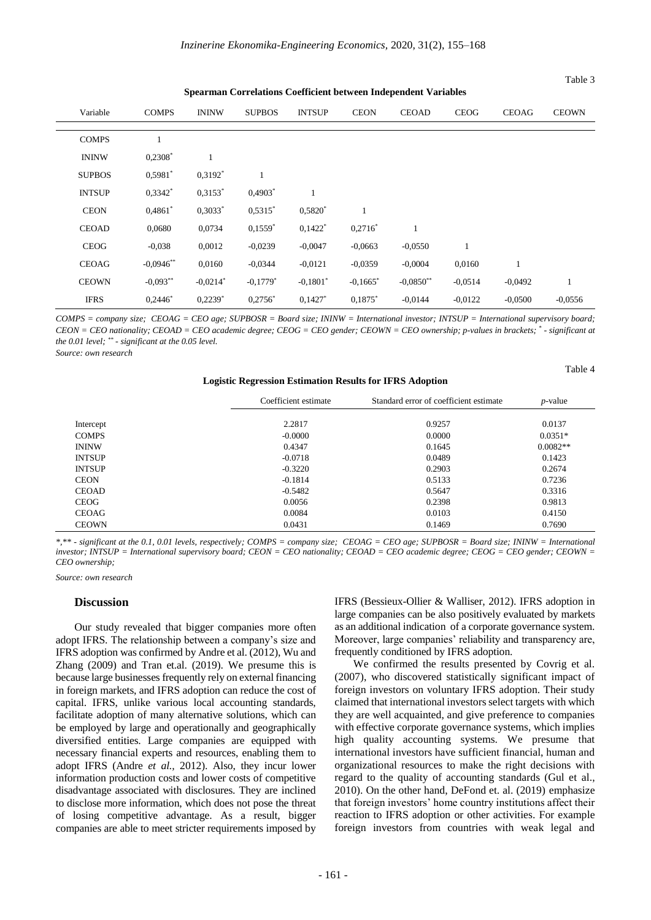| spearman Correlations Coemcient between muependent variables |              |                        |               |                        |                        |              |             |              |              |
|--------------------------------------------------------------|--------------|------------------------|---------------|------------------------|------------------------|--------------|-------------|--------------|--------------|
| Variable                                                     | <b>COMPS</b> | <b>ININW</b>           | <b>SUPBOS</b> | <b>INTSUP</b>          | <b>CEON</b>            | <b>CEOAD</b> | <b>CEOG</b> | <b>CEOAG</b> | <b>CEOWN</b> |
| <b>COMPS</b>                                                 |              |                        |               |                        |                        |              |             |              |              |
| <b>ININW</b>                                                 | $0,2308^*$   |                        |               |                        |                        |              |             |              |              |
| <b>SUPBOS</b>                                                | $0,5981$ *   | $0.3192*$              | 1             |                        |                        |              |             |              |              |
| <b>INTSUP</b>                                                | $0.3342*$    | $0.3153*$              | $0,4903*$     | 1                      |                        |              |             |              |              |
| <b>CEON</b>                                                  | $0.4861*$    | $0,3033*$              | $0.5315*$     | $0,5820*$              | $\mathbf{1}$           |              |             |              |              |
| <b>CEOAD</b>                                                 | 0,0680       | 0.0734                 | $0,1559$ *    | $0,1422$ <sup>*</sup>  | $0,2716^*$             | 1            |             |              |              |
| <b>CEOG</b>                                                  | $-0.038$     | 0,0012                 | $-0,0239$     | $-0,0047$              | $-0,0663$              | $-0.0550$    |             |              |              |
| <b>CEOAG</b>                                                 | $-0,0946$ ** | 0,0160                 | $-0.0344$     | $-0.0121$              | $-0.0359$              | $-0,0004$    | 0,0160      |              |              |
| <b>CEOWN</b>                                                 | $-0.093**$   | $-0.0214$ <sup>*</sup> | $-0.1779*$    | $-0.1801$ <sup>*</sup> | $-0.1665$ <sup>*</sup> | $-0.0850**$  | $-0.0514$   | $-0,0492$    |              |
| <b>IFRS</b>                                                  | $0,2446*$    | $0,2239$ <sup>*</sup>  | $0,2756^*$    | $0,1427$ <sup>*</sup>  | $0.1875*$              | $-0.0144$    | $-0.0122$   | $-0,0500$    | $-0.0556$    |

**Spearman Correlations Coefficient between Independent Variables**

*COMPS = company size; CEOAG = CEO age; SUPBOSR = Board size; ININW = International investor; INTSUP = International supervisory board; CEON = CEO nationality; CEOAD = CEO academic degree; CEOG = CEO gender; CEOWN = CEO ownership; p-values in brackets; \* - significant at the 0.01 level; \*\* - significant at the 0.05 level.*

*Source: own research*

**Logistic Regression Estimation Results for IFRS Adoption**

Table 4

Table 3

|               | Coefficient estimate<br>Standard error of coefficient estimate |        | $p$ -value |
|---------------|----------------------------------------------------------------|--------|------------|
| Intercept     | 2.2817                                                         | 0.9257 | 0.0137     |
| <b>COMPS</b>  | $-0.0000$                                                      | 0.0000 | $0.0351*$  |
| <b>ININW</b>  | 0.4347                                                         | 0.1645 | $0.0082**$ |
| <b>INTSUP</b> | $-0.0718$                                                      | 0.0489 | 0.1423     |
| <b>INTSUP</b> | $-0.3220$                                                      | 0.2903 | 0.2674     |
| <b>CEON</b>   | $-0.1814$                                                      | 0.5133 | 0.7236     |
| <b>CEOAD</b>  | $-0.5482$                                                      | 0.5647 | 0.3316     |
| <b>CEOG</b>   | 0.0056                                                         | 0.2398 | 0.9813     |
| <b>CEOAG</b>  | 0.0084                                                         | 0.0103 | 0.4150     |
| <b>CEOWN</b>  | 0.0431                                                         | 0.1469 | 0.7690     |

*\*,\*\* - significant at the 0.1, 0.01 levels, respectively; COMPS = company size; CEOAG = CEO age; SUPBOSR = Board size; ININW = International investor; INTSUP = International supervisory board; CEON = CEO nationality; CEOAD = CEO academic degree; CEOG = CEO gender; CEOWN = CEO ownership;*

*Source: own research*

#### **Discussion**

Our study revealed that bigger companies more often adopt IFRS. The relationship between a company's size and IFRS adoption was confirmed by Andre et al. (2012), Wu and Zhang (2009) and Tran et.al. (2019). We presume this is because large businesses frequently rely on external financing in foreign markets, and IFRS adoption can reduce the cost of capital. IFRS, unlike various local accounting standards, facilitate adoption of many alternative solutions, which can be employed by large and operationally and geographically diversified entities. Large companies are equipped with necessary financial experts and resources, enabling them to adopt IFRS (Andre *et al.,* 2012). Also, they incur lower information production costs and lower costs of competitive disadvantage associated with disclosures. They are inclined to disclose more information, which does not pose the threat of losing competitive advantage. As a result, bigger companies are able to meet stricter requirements imposed by

IFRS (Bessieux-Ollier & Walliser, 2012). IFRS adoption in large companies can be also positively evaluated by markets as an additional indication of a corporate governance system. Moreover, large companies' reliability and transparency are, frequently conditioned by IFRS adoption.

We confirmed the results presented by Covrig et al. (2007), who discovered statistically significant impact of foreign investors on voluntary IFRS adoption. Their study claimed that international investors select targets with which they are well acquainted, and give preference to companies with effective corporate governance systems, which implies high quality accounting systems. We presume that international investors have sufficient financial, human and organizational resources to make the right decisions with regard to the quality of accounting standards (Gul et al., 2010). On the other hand, DeFond et. al. (2019) emphasize that foreign investors' home country institutions affect their reaction to IFRS adoption or other activities. For example foreign investors from countries with weak legal and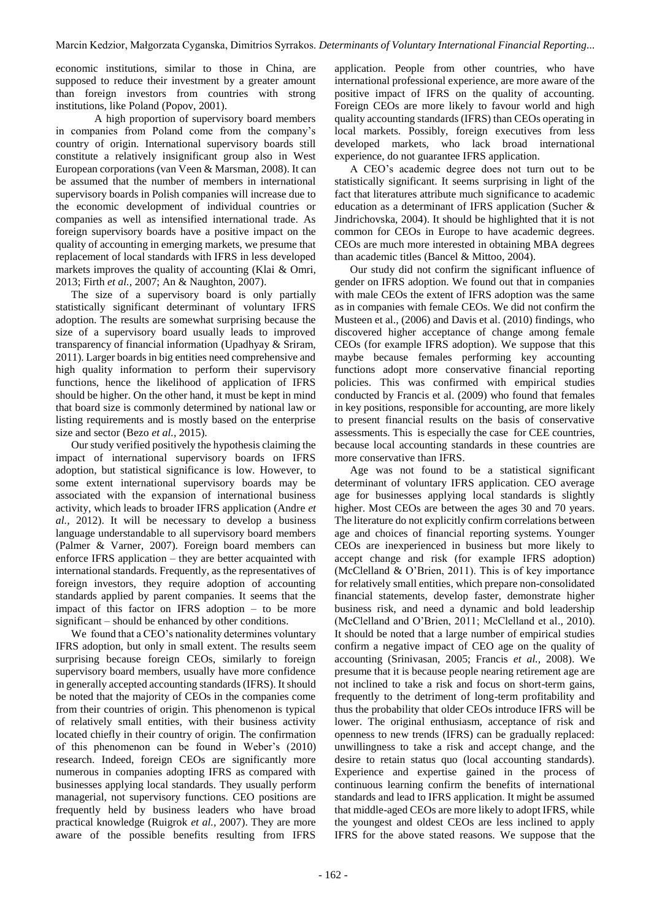economic institutions, similar to those in China, are supposed to reduce their investment by a greater amount than foreign investors from countries with strong institutions, like Poland (Popov, 2001).

A high proportion of supervisory board members in companies from Poland come from the company's country of origin. International supervisory boards still constitute a relatively insignificant group also in West European corporations (van Veen & Marsman, 2008). It can be assumed that the number of members in international supervisory boards in Polish companies will increase due to the economic development of individual countries or companies as well as intensified international trade. As foreign supervisory boards have a positive impact on the quality of accounting in emerging markets, we presume that replacement of local standards with IFRS in less developed markets improves the quality of accounting (Klai & Omri, 2013; Firth *et al.,* 2007; An & Naughton, 2007).

The size of a supervisory board is only partially statistically significant determinant of voluntary IFRS adoption. The results are somewhat surprising because the size of a supervisory board usually leads to improved transparency of financial information (Upadhyay & Sriram, 2011). Larger boards in big entities need comprehensive and high quality information to perform their supervisory functions, hence the likelihood of application of IFRS should be higher. On the other hand, it must be kept in mind that board size is commonly determined by national law or listing requirements and is mostly based on the enterprise size and sector (Bezo *et al.,* 2015).

Our study verified positively the hypothesis claiming the impact of international supervisory boards on IFRS adoption, but statistical significance is low. However, to some extent international supervisory boards may be associated with the expansion of international business activity, which leads to broader IFRS application (Andre *et al.,* 2012). It will be necessary to develop a business language understandable to all supervisory board members (Palmer & Varner, 2007). Foreign board members can enforce IFRS application – they are better acquainted with international standards. Frequently, as the representatives of foreign investors, they require adoption of accounting standards applied by parent companies. It seems that the impact of this factor on IFRS adoption – to be more significant – should be enhanced by other conditions.

We found that a CEO's nationality determines voluntary IFRS adoption, but only in small extent. The results seem surprising because foreign CEOs, similarly to foreign supervisory board members, usually have more confidence in generally accepted accounting standards (IFRS). It should be noted that the majority of CEOs in the companies come from their countries of origin. This phenomenon is typical of relatively small entities, with their business activity located chiefly in their country of origin. The confirmation of this phenomenon can be found in Weber's (2010) research. Indeed, foreign CEOs are significantly more numerous in companies adopting IFRS as compared with businesses applying local standards. They usually perform managerial, not supervisory functions. CEO positions are frequently held by business leaders who have broad practical knowledge (Ruigrok *et al.,* 2007). They are more aware of the possible benefits resulting from IFRS

application. People from other countries, who have international professional experience, are more aware of the positive impact of IFRS on the quality of accounting. Foreign CEOs are more likely to favour world and high quality accounting standards (IFRS) than CEOs operating in local markets. Possibly, foreign executives from less developed markets, who lack broad international experience, do not guarantee IFRS application.

A CEO's academic degree does not turn out to be statistically significant. It seems surprising in light of the fact that literatures attribute much significance to academic education as a determinant of IFRS application (Sucher & Jindrichovska, 2004). It should be highlighted that it is not common for CEOs in Europe to have academic degrees. CEOs are much more interested in obtaining MBA degrees than academic titles (Bancel & Mittoo, 2004).

Our study did not confirm the significant influence of gender on IFRS adoption. We found out that in companies with male CEOs the extent of IFRS adoption was the same as in companies with female CEOs. We did not confirm the Musteen et al., (2006) and Davis et al. (2010) findings, who discovered higher acceptance of change among female CEOs (for example IFRS adoption). We suppose that this maybe because females performing key accounting functions adopt more conservative financial reporting policies. This was confirmed with empirical studies conducted by Francis et al. (2009) who found that females in key positions, responsible for accounting, are more likely to present financial results on the basis of conservative assessments. This is especially the case for CEE countries, because local accounting standards in these countries are more conservative than IFRS.

Age was not found to be a statistical significant determinant of voluntary IFRS application. CEO average age for businesses applying local standards is slightly higher. Most CEOs are between the ages 30 and 70 years. The literature do not explicitly confirm correlations between age and choices of financial reporting systems. Younger CEOs are inexperienced in business but more likely to accept change and risk (for example IFRS adoption) (McClelland & O'Brien, 2011). This is of key importance for relatively small entities, which prepare non-consolidated financial statements, develop faster, demonstrate higher business risk, and need a dynamic and bold leadership (McClelland and O'Brien, 2011; McClelland et al., 2010). It should be noted that a large number of empirical studies confirm a negative impact of CEO age on the quality of accounting (Srinivasan, 2005; Francis *et al.,* 2008). We presume that it is because people nearing retirement age are not inclined to take a risk and focus on short-term gains, frequently to the detriment of long-term profitability and thus the probability that older CEOs introduce IFRS will be lower. The original enthusiasm, acceptance of risk and openness to new trends (IFRS) can be gradually replaced: unwillingness to take a risk and accept change, and the desire to retain status quo (local accounting standards). Experience and expertise gained in the process of continuous learning confirm the benefits of international standards and lead to IFRS application. It might be assumed that middle-aged CEOs are more likely to adopt IFRS, while the youngest and oldest CEOs are less inclined to apply IFRS for the above stated reasons. We suppose that the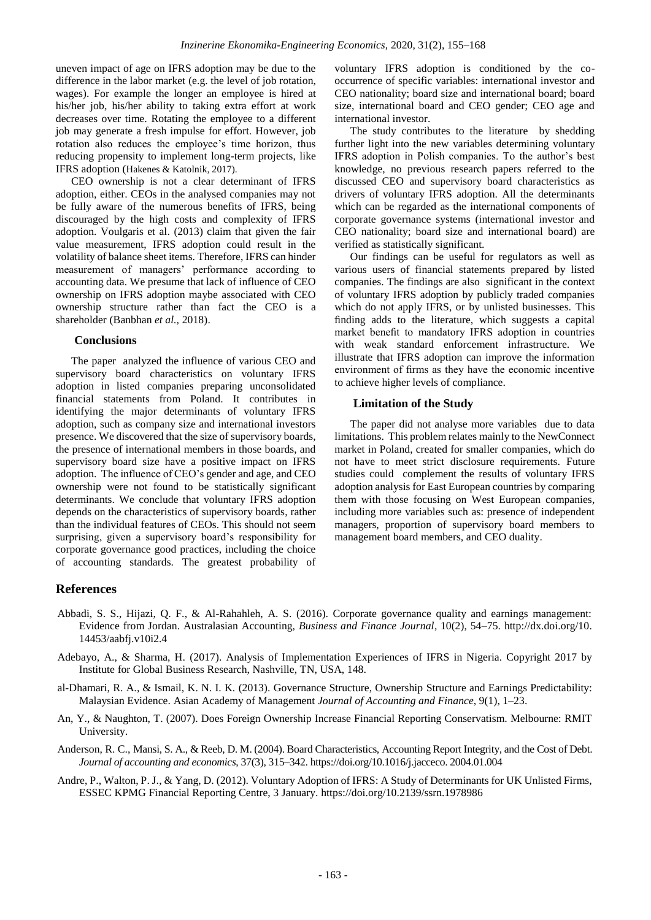uneven impact of age on IFRS adoption may be due to the difference in the labor market (e.g. the level of job rotation, wages). For example the longer an employee is hired at his/her job, his/her ability to taking extra effort at work decreases over time. Rotating the employee to a different job may generate a fresh impulse for effort. However, job rotation also reduces the employee's time horizon, thus reducing propensity to implement long-term projects, like IFRS adoption (Hakenes & Katolnik, 2017).

CEO ownership is not a clear determinant of IFRS adoption, either. CEOs in the analysed companies may not be fully aware of the numerous benefits of IFRS, being discouraged by the high costs and complexity of IFRS adoption. Voulgaris et al. (2013) claim that given the fair value measurement, IFRS adoption could result in the volatility of balance sheet items. Therefore, IFRS can hinder measurement of managers' performance according to accounting data. We presume that lack of influence of CEO ownership on IFRS adoption maybe associated with CEO ownership structure rather than fact the CEO is a shareholder (Banbhan *et al.,* 2018).

## **Conclusions**

The paper analyzed the influence of various CEO and supervisory board characteristics on voluntary IFRS adoption in listed companies preparing unconsolidated financial statements from Poland. It contributes in identifying the major determinants of voluntary IFRS adoption, such as company size and international investors presence. We discovered that the size of supervisory boards, the presence of international members in those boards, and supervisory board size have a positive impact on IFRS adoption. The influence of CEO's gender and age, and CEO ownership were not found to be statistically significant determinants. We conclude that voluntary IFRS adoption depends on the characteristics of supervisory boards, rather than the individual features of CEOs. This should not seem surprising, given a supervisory board's responsibility for corporate governance good practices, including the choice of accounting standards. The greatest probability of voluntary IFRS adoption is conditioned by the cooccurrence of specific variables: international investor and CEO nationality; board size and international board; board size, international board and CEO gender; CEO age and international investor.

The study contributes to the literature by shedding further light into the new variables determining voluntary IFRS adoption in Polish companies. To the author's best knowledge, no previous research papers referred to the discussed CEO and supervisory board characteristics as drivers of voluntary IFRS adoption. All the determinants which can be regarded as the international components of corporate governance systems (international investor and CEO nationality; board size and international board) are verified as statistically significant.

Our findings can be useful for regulators as well as various users of financial statements prepared by listed companies. The findings are also significant in the context of voluntary IFRS adoption by publicly traded companies which do not apply IFRS, or by unlisted businesses. This finding adds to the literature, which suggests a capital market benefit to mandatory IFRS adoption in countries with weak standard enforcement infrastructure. We illustrate that IFRS adoption can improve the information environment of firms as they have the economic incentive to achieve higher levels of compliance.

### **Limitation of the Study**

The paper did not analyse more variables due to data limitations. This problem relates mainly to the NewConnect market in Poland, created for smaller companies, which do not have to meet strict disclosure requirements. Future studies could complement the results of voluntary IFRS adoption analysis for East European countries by comparing them with those focusing on West European companies, including more variables such as: presence of independent managers, proportion of supervisory board members to management board members, and CEO duality.

# **References**

- Abbadi, S. S., Hijazi, Q. F., & Al-Rahahleh, A. S. (2016). Corporate governance quality and earnings management: Evidence from Jordan. Australasian Accounting, *Business and Finance Journal*, 10(2), 54–75. [http://dx.doi.org/10.](http://dx.doi.org/10) 14453/aabfj.v10i2.4
- Adebayo, A., & Sharma, H. (2017). Analysis of Implementation Experiences of IFRS in Nigeria. Copyright 2017 by Institute for Global Business Research, Nashville, TN, USA, 148.
- al-Dhamari, R. A., & Ismail, K. N. I. K. (2013). Governance Structure, Ownership Structure and Earnings Predictability: Malaysian Evidence. Asian Academy of Management *Journal of Accounting and Finance*, 9(1), 1–23.
- An, Y., & Naughton, T. (2007). Does Foreign Ownership Increase Financial Reporting Conservatism. Melbourne: RMIT University.
- Anderson, R. C., Mansi, S. A., & Reeb, D. M. (2004). Board Characteristics, Accounting Report Integrity, and the Cost of Debt. *Journal of accounting and economics*, 37(3), 315–342. [https://doi.org/10.1016/j.jacceco. 2004.01.004](https://doi.org/10.1016/j.jacceco.%202004.01.004)
- Andre, P., Walton, P. J., & Yang, D. (2012). Voluntary Adoption of IFRS: A Study of Determinants for UK Unlisted Firms, ESSEC KPMG Financial Reporting Centre, 3 January. <https://doi.org/10.2139/ssrn.1978986>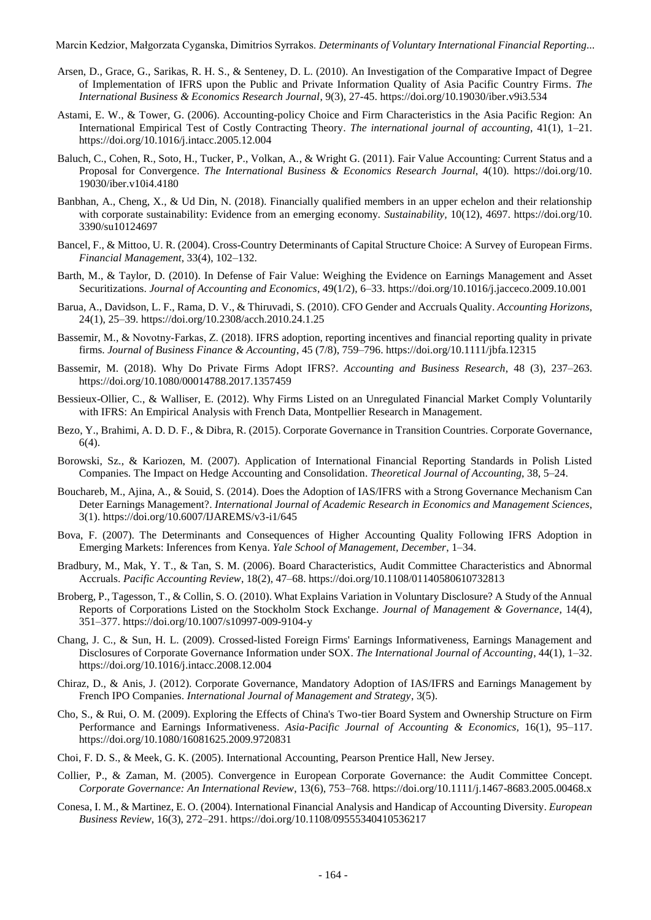Marcin Kedzior, Małgorzata Cyganska, Dimitrios Syrrakos. *Determinants of Voluntary International Financial Reporting...*

- Arsen, D., Grace, G., Sarikas, R. H. S., & Senteney, D. L. (2010). An Investigation of the Comparative Impact of Degree of Implementation of IFRS upon the Public and Private Information Quality of Asia Pacific Country Firms. *The International Business & Economics Research Journal*, 9(3), 27-45[. https://doi.org/10.19030/iber.v9i3.534](https://doi.org/10.19030/iber.v9i3.534)
- Astami, E. W., & Tower, G. (2006). Accounting-policy Choice and Firm Characteristics in the Asia Pacific Region: An International Empirical Test of Costly Contracting Theory. *The international journal of accounting*, 41(1), 1–21. <https://doi.org/10.1016/j.intacc.2005.12.004>
- Baluch, C., Cohen, R., Soto, H., Tucker, P., Volkan, A., & Wright G. (2011). Fair Value Accounting: Current Status and a Proposal for Convergence. *The International Business & Economics Research Journal*, 4(10). [https://doi.org/10.](https://doi.org/10.%2019030/iber.v10i4.4180)  [19030/iber.v10i4.4180](https://doi.org/10.%2019030/iber.v10i4.4180)
- Banbhan, A., Cheng, X., & Ud Din, N. (2018). Financially qualified members in an upper echelon and their relationship with corporate sustainability: Evidence from an emerging economy. *Sustainability,* 10(12), 4697. [https://doi.org/10.](https://doi.org/10.%203390/su10124697)  [3390/su10124697](https://doi.org/10.%203390/su10124697)
- Bancel, F., & Mittoo, U. R. (2004). Cross-Country Determinants of Capital Structure Choice: A Survey of European Firms. *Financial Management*, 33(4), 102–132.
- Barth, M., & Taylor, D. (2010). In Defense of Fair Value: Weighing the Evidence on Earnings Management and Asset Securitizations. *Journal of Accounting and Economics*, 49(1/2), 6–33[. https://doi.org/10.1016/j.jacceco.2009.10.001](https://doi.org/10.1016/j.jacceco.2009.10.001)
- Barua, A., Davidson, L. F., Rama, D. V., & Thiruvadi, S. (2010). CFO Gender and Accruals Quality. *Accounting Horizons*, 24(1), 25–39.<https://doi.org/10.2308/acch.2010.24.1.25>
- Bassemir, M., & Novotny-Farkas, Z. (2018). IFRS adoption, reporting incentives and financial reporting quality in private firms. *Journal of Business Finance & Accounting*, 45 (7/8), 759–796.<https://doi.org/10.1111/jbfa.12315>
- Bassemir, M. (2018). Why Do Private Firms Adopt IFRS?. *Accounting and Business Research*, 48 (3), 237–263. <https://doi.org/10.1080/00014788.2017.1357459>
- Bessieux-Ollier, C., & Walliser, E. (2012). Why Firms Listed on an Unregulated Financial Market Comply Voluntarily with IFRS: An Empirical Analysis with French Data, Montpellier Research in Management.
- Bezo, Y., Brahimi, A. D. D. F., & Dibra, R. (2015). Corporate Governance in Transition Countries. Corporate Governance, 6(4).
- Borowski, Sz., & Kariozen, M. (2007). Application of International Financial Reporting Standards in Polish Listed Companies. The Impact on Hedge Accounting and Consolidation. *Theoretical Journal of Accounting*, 38, 5–24.
- Bouchareb, M., Ajina, A., & Souid, S. (2014). Does the Adoption of IAS/IFRS with a Strong Governance Mechanism Can Deter Earnings Management?. *International Journal of Academic Research in Economics and Management Sciences*, 3(1).<https://doi.org/10.6007/IJAREMS/v3-i1/645>
- Bova, F. (2007). The Determinants and Consequences of Higher Accounting Quality Following IFRS Adoption in Emerging Markets: Inferences from Kenya. *Yale School of Management, December*, 1–34.
- Bradbury, M., Mak, Y. T., & Tan, S. M. (2006). Board Characteristics, Audit Committee Characteristics and Abnormal Accruals. *Pacific Accounting Review*, 18(2), 47–68.<https://doi.org/10.1108/01140580610732813>
- Broberg, P., Tagesson, T., & Collin, S. O. (2010). What Explains Variation in Voluntary Disclosure? A Study of the Annual Reports of Corporations Listed on the Stockholm Stock Exchange. *Journal of Management & Governance*, 14(4), 351–377[. https://doi.org/10.1007/s10997-009-9104-y](https://doi.org/10.1007/s10997-009-9104-y)
- Chang, J. C., & Sun, H. L. (2009). Crossed-listed Foreign Firms' Earnings Informativeness, Earnings Management and Disclosures of Corporate Governance Information under SOX. *The International Journal of Accounting*, 44(1), 1–32. <https://doi.org/10.1016/j.intacc.2008.12.004>
- Chiraz, D., & Anis, J. (2012). Corporate Governance, Mandatory Adoption of IAS/IFRS and Earnings Management by French IPO Companies. *International Journal of Management and Strategy*, 3(5).
- Cho, S., & Rui, O. M. (2009). Exploring the Effects of China's Two-tier Board System and Ownership Structure on Firm Performance and Earnings Informativeness. *Asia-Pacific Journal of Accounting & Economics,* 16(1), 95–117. <https://doi.org/10.1080/16081625.2009.9720831>
- Choi, F. D. S., & Meek, G. K. (2005). International Accounting, Pearson Prentice Hall, New Jersey.
- Collier, P., & Zaman, M. (2005). Convergence in European Corporate Governance: the Audit Committee Concept. *Corporate Governance: An International Review*, 13(6), 753–768[. https://doi.org/10.1111/j.1467-8683.2005.00468.x](https://doi.org/10.1111/j.1467-8683.2005.00468.x)
- Conesa, I. M., & Martinez, E. O. (2004). International Financial Analysis and Handicap of Accounting Diversity. *European Business Review*, 16(3), 272–291[. https://doi.org/10.1108/09555340410536217](https://doi.org/10.1108/09555340410536217)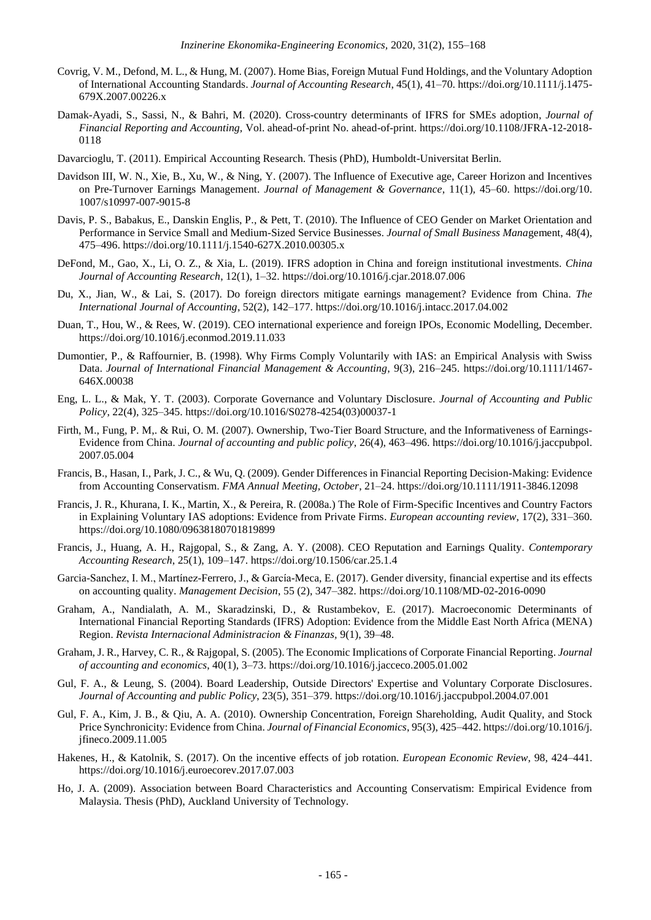- Covrig, V. M., Defond, M. L., & Hung, M. (2007). Home Bias, Foreign Mutual Fund Holdings, and the Voluntary Adoption of International Accounting Standards. *Journal of Accounting Research*, 45(1), 41–70[. https://doi.org/10.1111/j.1475-](https://doi.org/10.1111/j.1475-679X.2007.00226.x) [679X.2007.00226.x](https://doi.org/10.1111/j.1475-679X.2007.00226.x)
- Damak-Ayadi, S., Sassi, N., & Bahri, M. (2020). Cross-country determinants of IFRS for SMEs adoption*, Journal of Financial Reporting and Accounting,* Vol. ahead-of-print No. ahead-of-print. [https://doi.org/10.1108/JFRA-12-2018-](https://doi.org/10.1108/JFRA-12-2018-0118) [0118](https://doi.org/10.1108/JFRA-12-2018-0118)
- Davarcioglu, T. (2011). Empirical Accounting Research. Thesis (PhD), Humboldt-Universitat Berlin.
- Davidson III, W. N., Xie, B., Xu, W., & Ning, Y. (2007). The Influence of Executive age, Career Horizon and Incentives on Pre-Turnover Earnings Management. *Journal of Management & Governance*, 11(1), 45–60. [https://doi.org/10.](https://doi.org/10.%201007/s10997-007-9015-8)  [1007/s10997-007-9015-8](https://doi.org/10.%201007/s10997-007-9015-8)
- Davis, P. S., Babakus, E., Danskin Englis, P., & Pett, T. (2010). The Influence of CEO Gender on Market Orientation and Performance in Service Small and Medium-Sized Service Businesses. *Journal of Small Business Mana*gement, 48(4), 475–496[. https://doi.org/10.1111/j.1540-627X.2010.00305.x](https://doi.org/10.1111/j.1540-627X.2010.00305.x)
- DeFond, M., Gao, X., Li, O. Z., & Xia, L. (2019). IFRS adoption in China and foreign institutional investments. *China Journal of Accounting Research*, 12(1), 1–32. <https://doi.org/10.1016/j.cjar.2018.07.006>
- Du, X., Jian, W., & Lai, S. (2017). Do foreign directors mitigate earnings management? Evidence from China. *The International Journal of Accounting*, 52(2), 142–177[. https://doi.org/10.1016/j.intacc.2017.04.002](https://doi.org/10.1016/j.intacc.2017.04.002)
- Duan, T., Hou, W., & Rees, W. (2019). CEO international experience and foreign IPOs, Economic Modelling, December. <https://doi.org/10.1016/j.econmod.2019.11.033>
- Dumontier, P., & Raffournier, B. (1998). Why Firms Comply Voluntarily with IAS: an Empirical Analysis with Swiss Data. *Journal of International Financial Management & Accounting*, 9(3), 216–245. [https://doi.org/10.1111/1467-](https://doi.org/10.1111/1467-646X.00038) [646X.00038](https://doi.org/10.1111/1467-646X.00038)
- Eng, L. L., & Mak, Y. T. (2003). Corporate Governance and Voluntary Disclosure. *Journal of Accounting and Public Policy*, 22(4), 325–345[. https://doi.org/10.1016/S0278-4254\(03\)00037-1](https://doi.org/10.1016/S0278-4254(03)00037-1)
- Firth, M., Fung, P. M,. & Rui, O. M. (2007). Ownership, Two-Tier Board Structure, and the Informativeness of Earnings-Evidence from China. *Journal of accounting and public policy*, 26(4), 463–496[. https://doi.org/10.1016/j.jaccpubpol.](https://doi.org/10.1016/j.jaccpubpol.%202007.05.004)  [2007.05.004](https://doi.org/10.1016/j.jaccpubpol.%202007.05.004)
- Francis, B., Hasan, I., Park, J. C., & Wu, Q. (2009). Gender Differences in Financial Reporting Decision-Making: Evidence from Accounting Conservatism. *FMA Annual Meeting, October*, 21–24[. https://doi.org/10.1111/1911-3846.12098](https://doi.org/10.1111/1911-3846.12098)
- Francis, J. R., Khurana, I. K., Martin, X., & Pereira, R. (2008a.) The Role of Firm-Specific Incentives and Country Factors in Explaining Voluntary IAS adoptions: Evidence from Private Firms. *European accounting review*, 17(2), 331–360. <https://doi.org/10.1080/09638180701819899>
- Francis, J., Huang, A. H., Rajgopal, S., & Zang, A. Y. (2008). CEO Reputation and Earnings Quality. *Contemporary Accounting Research*, 25(1), 109–147.<https://doi.org/10.1506/car.25.1.4>
- Garcia-Sanchez, I. M., Martínez-Ferrero, J., & García-Meca, E. (2017). Gender diversity, financial expertise and its effects on accounting quality. *Management Decision*, 55 (2), 347–382[. https://doi.org/10.1108/MD-02-2016-0090](https://doi.org/10.1108/MD-02-2016-0090)
- Graham, A., Nandialath, A. M., Skaradzinski, D., & Rustambekov, E. (2017). Macroeconomic Determinants of International Financial Reporting Standards (IFRS) Adoption: Evidence from the Middle East North Africa (MENA) Region. *Revista Internacional Administracion & Finanzas,* 9(1), 39–48.
- Graham, J. R., Harvey, C. R., & Rajgopal, S. (2005). The Economic Implications of Corporate Financial Reporting. *Journal of accounting and economics*, 40(1), 3–73.<https://doi.org/10.1016/j.jacceco.2005.01.002>
- Gul, F. A., & Leung, S. (2004). Board Leadership, Outside Directors' Expertise and Voluntary Corporate Disclosures. *Journal of Accounting and public Policy*, 23(5), 351–379[. https://doi.org/10.1016/j.jaccpubpol.2004.07.001](https://doi.org/10.1016/j.jaccpubpol.2004.07.001)
- Gul, F. A., Kim, J. B., & Qiu, A. A. (2010). Ownership Concentration, Foreign Shareholding, Audit Quality, and Stock Price Synchronicity: Evidence from China. *Journal of Financial Economics*, 95(3), 425–442[. https://doi.org/10.1016/j.](https://doi.org/10.1016/j.%20jfineco.2009.11.005)  [jfineco.2009.11.005](https://doi.org/10.1016/j.%20jfineco.2009.11.005)
- Hakenes, H., & Katolnik, S. (2017). On the incentive effects of job rotation. *European Economic Review*, 98, 424–441. <https://doi.org/10.1016/j.euroecorev.2017.07.003>
- Ho, J. A. (2009). Association between Board Characteristics and Accounting Conservatism: Empirical Evidence from Malaysia. Thesis (PhD), Auckland University of Technology.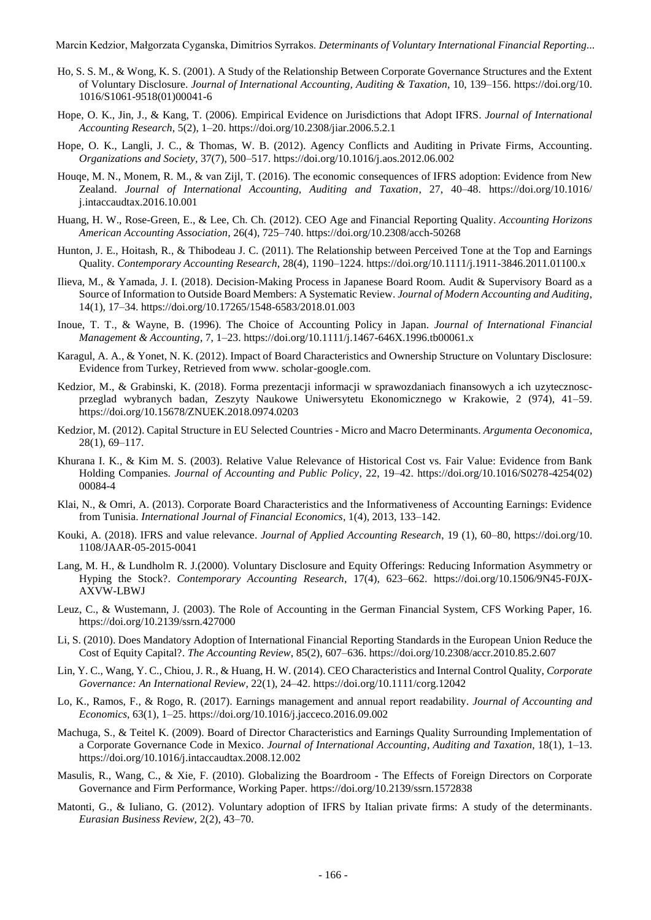Marcin Kedzior, Małgorzata Cyganska, Dimitrios Syrrakos. *Determinants of Voluntary International Financial Reporting...*

- Ho, S. S. M., & Wong, K. S. (2001). A Study of the Relationship Between Corporate Governance Structures and the Extent of Voluntary Disclosure. *Journal of International Accounting, Auditing & Taxation*, 10, 139–156. [https://doi.org/10.](https://doi.org/10.%201016/S1061-9518(01)00041-6)  [1016/S1061-9518\(01\)00041-6](https://doi.org/10.%201016/S1061-9518(01)00041-6)
- Hope, O. K., Jin, J., & Kang, T. (2006). Empirical Evidence on Jurisdictions that Adopt IFRS. *Journal of International Accounting Research*, 5(2), 1–20.<https://doi.org/10.2308/jiar.2006.5.2.1>
- Hope, O. K., Langli, J. C., & Thomas, W. B. (2012). Agency Conflicts and Auditing in Private Firms, Accounting. *Organizations and Society*, 37(7), 500–517.<https://doi.org/10.1016/j.aos.2012.06.002>
- Houqe, M. N., Monem, R. M., & van Zijl, T. (2016). The economic consequences of IFRS adoption: Evidence from New Zealand. *Journal of International Accounting, Auditing and Taxation*, 27, 40–48. [https://doi.org/10.1016/](https://doi.org/10.1016/%20j.intaccaudtax.2016.10.001)  [j.intaccaudtax.2016.10.001](https://doi.org/10.1016/%20j.intaccaudtax.2016.10.001)
- Huang, H. W., Rose-Green, E., & Lee, Ch. Ch. (2012). CEO Age and Financial Reporting Quality. *Accounting Horizons American Accounting Association*, 26(4), 725–740.<https://doi.org/10.2308/acch-50268>
- Hunton, J. E., Hoitash, R., & Thibodeau J. C. (2011). The Relationship between Perceived Tone at the Top and Earnings Quality. *Contemporary Accounting Research*, 28(4), 1190–1224. <https://doi.org/10.1111/j.1911-3846.2011.01100.x>
- Ilieva, M., & Yamada, J. I. (2018). Decision-Making Process in Japanese Board Room. Audit & Supervisory Board as a Source of Information to Outside Board Members: A Systematic Review. *Journal of Modern Accounting and Auditing*, 14(1), 17–34. <https://doi.org/10.17265/1548-6583/2018.01.003>
- Inoue, T. T., & Wayne, B. (1996). The Choice of Accounting Policy in Japan. *Journal of International Financial Management & Accounting*, 7, 1–23.<https://doi.org/10.1111/j.1467-646X.1996.tb00061.x>
- Karagul, A. A., & Yonet, N. K. (2012). Impact of Board Characteristics and Ownership Structure on Voluntary Disclosure: Evidence from Turkey, Retrieved from www. scholar-google.com.
- Kedzior, M., & Grabinski, K. (2018). Forma prezentacji informacji w sprawozdaniach finansowych a ich uzytecznoscprzeglad wybranych badan, Zeszyty Naukowe Uniwersytetu Ekonomicznego w Krakowie, 2 (974), 41–59. <https://doi.org/10.15678/ZNUEK.2018.0974.0203>
- Kedzior, M. (2012). Capital Structure in EU Selected Countries Micro and Macro Determinants. *Argumenta Oeconomica,* 28(1), 69–117.
- Khurana I. K., & Kim M. S. (2003). Relative Value Relevance of Historical Cost vs. Fair Value: Evidence from Bank Holding Companies. *Journal of Accounting and Public Policy*, 22, 19–42. [https://doi.org/10.1016/S0278-4254\(02\)](https://doi.org/10.1016/S0278-4254(02)%2000084-4)  [00084-4](https://doi.org/10.1016/S0278-4254(02)%2000084-4)
- Klai, N., & Omri, A. (2013). Corporate Board Characteristics and the Informativeness of Accounting Earnings: Evidence from Tunisia. *International Journal of Financial Economics*, 1(4), 2013, 133–142.
- Kouki, A. (2018). IFRS and value relevance. *Journal of Applied Accounting Research*, 19 (1), 60–80, [https://doi.org/10.](https://doi.org/10.%201108/JAAR-05-2015-0041)  [1108/JAAR-05-2015-0041](https://doi.org/10.%201108/JAAR-05-2015-0041)
- Lang, M. H., & Lundholm R. J.(2000). Voluntary Disclosure and Equity Offerings: Reducing Information Asymmetry or Hyping the Stock?. *Contemporary Accounting Research*, 17(4), 623–662. [https://doi.org/10.1506/9N45-F0JX-](https://doi.org/10.1506/9N45-F0JX-AXVW-LBWJ)[AXVW-LBWJ](https://doi.org/10.1506/9N45-F0JX-AXVW-LBWJ)
- Leuz, C., & Wustemann, J. (2003). The Role of Accounting in the German Financial System, CFS Working Paper, 16. <https://doi.org/10.2139/ssrn.427000>
- Li, S. (2010). Does Mandatory Adoption of International Financial Reporting Standards in the European Union Reduce the Cost of Equity Capital?. *The Accounting Review*, 85(2), 607–636[. https://doi.org/10.2308/accr.2010.85.2.607](https://doi.org/10.2308/accr.2010.85.2.607)
- Lin, Y. C., Wang, Y. C., Chiou, J. R., & Huang, H. W. (2014). CEO Characteristics and Internal Control Quality, *Corporate Governance: An International Review*, 22(1), 24–42[. https://doi.org/10.1111/corg.12042](https://doi.org/10.1111/corg.12042)
- Lo, K., Ramos, F., & Rogo, R. (2017). Earnings management and annual report readability. *Journal of Accounting and Economics*, 63(1), 1–25.<https://doi.org/10.1016/j.jacceco.2016.09.002>
- Machuga, S., & Teitel K. (2009). Board of Director Characteristics and Earnings Quality Surrounding Implementation of a Corporate Governance Code in Mexico. *Journal of International Accounting*, *Auditing and Taxation*, 18(1), 1–13. <https://doi.org/10.1016/j.intaccaudtax.2008.12.002>
- Masulis, R., Wang, C., & Xie, F. (2010). Globalizing the Boardroom The Effects of Foreign Directors on Corporate Governance and Firm Performance, Working Paper. <https://doi.org/10.2139/ssrn.1572838>
- Matonti, G., & Iuliano, G. (2012). Voluntary adoption of IFRS by Italian private firms: A study of the determinants. *Eurasian Business Review,* 2(2), 43–70.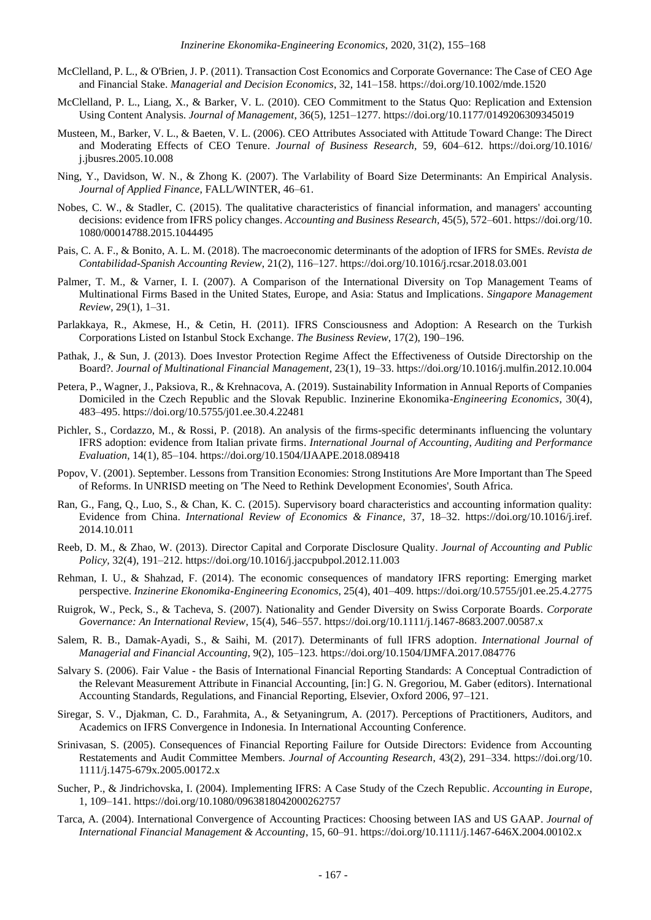- McClelland, P. L., & O'Brien, J. P. (2011). Transaction Cost Economics and Corporate Governance: The Case of CEO Age and Financial Stake. *Managerial and Decision Economics*, 32, 141–158[. https://doi.org/10.1002/mde.1520](https://doi.org/10.1002/mde.1520)
- McClelland, P. L., Liang, X., & Barker, V. L. (2010). CEO Commitment to the Status Quo: Replication and Extension Using Content Analysis. *Journal of Management*, 36(5), 1251–1277[. https://doi.org/10.1177/0149206309345019](https://doi.org/10.1177/0149206309345019)
- Musteen, M., Barker, V. L., & Baeten, V. L. (2006). CEO Attributes Associated with Attitude Toward Change: The Direct and Moderating Effects of CEO Tenure. *Journal of Business Research,* 59, 604–612. [https://doi.org/10.1016/](https://doi.org/10.1016/%20j.jbusres.2005.10.008)  [j.jbusres.2005.10.008](https://doi.org/10.1016/%20j.jbusres.2005.10.008)
- Ning, Y., Davidson, W. N., & Zhong K. (2007). The Varlability of Board Size Determinants: An Empirical Analysis. *Journal of Applied Finance*, FALL/WINTER, 46–61.
- Nobes, C. W., & Stadler, C. (2015). The qualitative characteristics of financial information, and managers' accounting decisions: evidence from IFRS policy changes. *Accounting and Business Research,* 45(5), 572–601[. https://doi.org/10.](https://doi.org/10.%201080/00014788.2015.1044495)  [1080/00014788.2015.1044495](https://doi.org/10.%201080/00014788.2015.1044495)
- Pais, C. A. F., & Bonito, A. L. M. (2018). The macroeconomic determinants of the adoption of IFRS for SMEs. *Revista de Contabilidad-Spanish Accounting Review*, 21(2), 116–127.<https://doi.org/10.1016/j.rcsar.2018.03.001>
- Palmer, T. M., & Varner, I. I. (2007). A Comparison of the International Diversity on Top Management Teams of Multinational Firms Based in the United States, Europe, and Asia: Status and Implications. *Singapore Management Review*, 29(1), 1–31.
- Parlakkaya, R., Akmese, H., & Cetin, H. (2011). IFRS Consciousness and Adoption: A Research on the Turkish Corporations Listed on Istanbul Stock Exchange. *The Business Review*, 17(2), 190–196.
- Pathak, J., & Sun, J. (2013). Does Investor Protection Regime Affect the Effectiveness of Outside Directorship on the Board?. *Journal of Multinational Financial Management*, 23(1), 19–33.<https://doi.org/10.1016/j.mulfin.2012.10.004>
- Petera, P., Wagner, J., Paksiova, R., & Krehnacova, A. (2019). Sustainability Information in Annual Reports of Companies Domiciled in the Czech Republic and the Slovak Republic. Inzinerine Ekonomika-*Engineering Economics*, 30(4), 483–495[. https://doi.org/10.5755/j01.ee.30.4.22481](https://doi.org/10.5755/j01.ee.30.4.22481)
- Pichler, S., Cordazzo, M., & Rossi, P. (2018). An analysis of the firms-specific determinants influencing the voluntary IFRS adoption: evidence from Italian private firms. *International Journal of Accounting*, *Auditing and Performance Evaluation*, 14(1), 85–104. <https://doi.org/10.1504/IJAAPE.2018.089418>
- Popov, V. (2001). September. Lessons from Transition Economies: Strong Institutions Are More Important than The Speed of Reforms. In UNRISD meeting on 'The Need to Rethink Development Economies', South Africa.
- Ran, G., Fang, Q., Luo, S., & Chan, K. C. (2015). Supervisory board characteristics and accounting information quality: Evidence from China. *International Review of Economics & Finance*, 37, 18–32. [https://doi.org/10.1016/j.iref.](https://doi.org/10.1016/j.iref.%202014.10.011)  [2014.10.011](https://doi.org/10.1016/j.iref.%202014.10.011)
- Reeb, D. M., & Zhao, W. (2013). Director Capital and Corporate Disclosure Quality. *Journal of Accounting and Public Policy,* 32(4), 191–212[. https://doi.org/10.1016/j.jaccpubpol.2012.11.003](https://doi.org/10.1016/j.jaccpubpol.2012.11.003)
- Rehman, I. U., & Shahzad, F. (2014). The economic consequences of mandatory IFRS reporting: Emerging market perspective. *Inzinerine Ekonomika-Engineering Economics*, 25(4), 401–409[. https://doi.org/10.5755/j01.ee.25.4.2775](https://doi.org/10.5755/j01.ee.25.4.2775)
- Ruigrok, W., Peck, S., & Tacheva, S. (2007). Nationality and Gender Diversity on Swiss Corporate Boards. *Corporate Governance: An International Review*, 15(4), 546–557[. https://doi.org/10.1111/j.1467-8683.2007.00587.x](https://doi.org/10.1111/j.1467-8683.2007.00587.x)
- Salem, R. B., Damak-Ayadi, S., & Saihi, M. (2017). Determinants of full IFRS adoption. *International Journal of Managerial and Financial Accounting*, 9(2), 105–123. <https://doi.org/10.1504/IJMFA.2017.084776>
- Salvary S. (2006). Fair Value the Basis of International Financial Reporting Standards: A Conceptual Contradiction of the Relevant Measurement Attribute in Financial Accounting, [in:] G. N. Gregoriou, M. Gaber (editors). International Accounting Standards, Regulations, and Financial Reporting, Elsevier, Oxford 2006, 97–121.
- Siregar, S. V., Djakman, C. D., Farahmita, A., & Setyaningrum, A. (2017). Perceptions of Practitioners, Auditors, and Academics on IFRS Convergence in Indonesia. In International Accounting Conference.
- Srinivasan, S. (2005). Consequences of Financial Reporting Failure for Outside Directors: Evidence from Accounting Restatements and Audit Committee Members. *Journal of Accounting Research*, 43(2), 291–334. [https://doi.org/10.](https://doi.org/10.%201111/j.1475-679x.2005.00172.x)  [1111/j.1475-679x.2005.00172.x](https://doi.org/10.%201111/j.1475-679x.2005.00172.x)
- Sucher, P., & Jindrichovska, I. (2004). Implementing IFRS: A Case Study of the Czech Republic. *Accounting in Europe*, 1, 109–141.<https://doi.org/10.1080/0963818042000262757>
- Tarca, A. (2004). International Convergence of Accounting Practices: Choosing between IAS and US GAAP. *Journal of International Financial Management & Accounting*, 15, 60–91[. https://doi.org/10.1111/j.1467-646X.2004.00102.x](https://doi.org/10.1111/j.1467-646X.2004.00102.x)